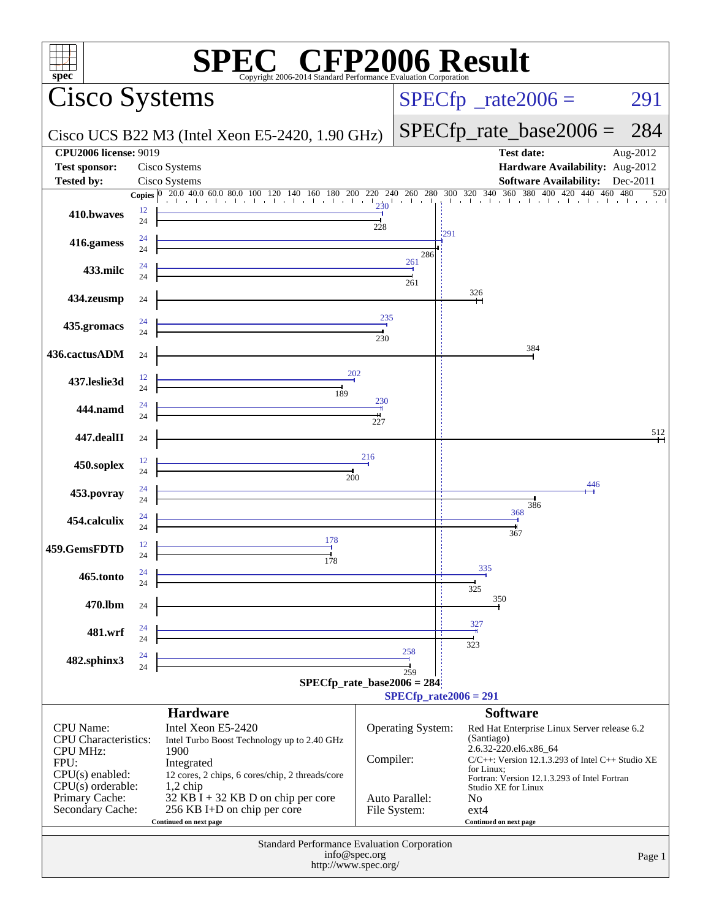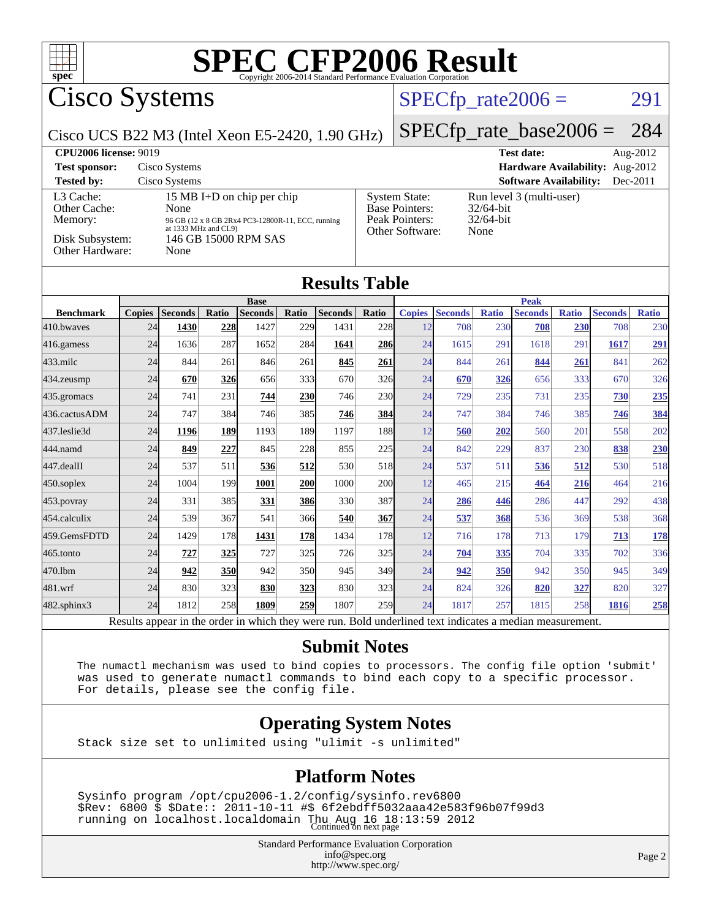

# Cisco Systems

#### $SPECTp_rate2006 = 291$

Cisco UCS B22 M3 (Intel Xeon E5-2420, 1.90 GHz)

#### [SPECfp\\_rate\\_base2006 =](http://www.spec.org/auto/cpu2006/Docs/result-fields.html#SPECfpratebase2006) 284

| <b>CPU2006 license: 9019</b>                                               |                                                                                                                                                 |                                                                                    | <b>Test date:</b><br>Aug- $2012$                                 |
|----------------------------------------------------------------------------|-------------------------------------------------------------------------------------------------------------------------------------------------|------------------------------------------------------------------------------------|------------------------------------------------------------------|
| <b>Test sponsor:</b>                                                       | Cisco Systems                                                                                                                                   |                                                                                    | Hardware Availability: Aug-2012                                  |
| <b>Tested by:</b>                                                          | Cisco Systems                                                                                                                                   |                                                                                    | <b>Software Availability:</b><br>$Dec-2011$                      |
| L3 Cache:<br>Other Cache:<br>Memory:<br>Disk Subsystem:<br>Other Hardware: | 15 MB I+D on chip per chip<br>None<br>96 GB (12 x 8 GB 2Rx4 PC3-12800R-11, ECC, running<br>at 1333 MHz and CL9)<br>146 GB 15000 RPM SAS<br>None | <b>System State:</b><br><b>Base Pointers:</b><br>Peak Pointers:<br>Other Software: | Run level 3 (multi-user)<br>$32/64$ -bit<br>$32/64$ -bit<br>None |

#### **[Results Table](http://www.spec.org/auto/cpu2006/Docs/result-fields.html#ResultsTable)**

|                  | <b>Base</b>    |                 |              |                |            | <b>Peak</b>    |            |                        |                         |              |                |              |                |              |
|------------------|----------------|-----------------|--------------|----------------|------------|----------------|------------|------------------------|-------------------------|--------------|----------------|--------------|----------------|--------------|
| <b>Benchmark</b> | <b>Copies</b>  | <b>Seconds</b>  | Ratio        | <b>Seconds</b> | Ratio      | <b>Seconds</b> | Ratio      | <b>Copies</b>          | <b>Seconds</b>          | <b>Ratio</b> | <b>Seconds</b> | <b>Ratio</b> | <b>Seconds</b> | <b>Ratio</b> |
| 410.bwayes       | 24             | 1430            | 228          | 1427           | 229        | 1431           | 228        | 12                     | 708                     | 230          | 708            | 230          | 708            | 230          |
| 416.gamess       | 24             | 1636            | 287          | 1652           | 284        | 1641           | 286        | 24                     | 1615                    | 291          | 1618           | 291          | 1617           | 291          |
| 433.milc         | 24             | 844             | 261          | 846            | 261        | 845            | 261        | 24                     | 844                     | 261          | 844            | 261          | 841            | 262          |
| $434$ . zeusmp   | 24             | 670             | 326          | 656            | 333        | 670            | <b>326</b> | 24                     | 670                     | 326          | 656            | 333          | 670            | 326          |
| 435.gromacs      | 24             | 741             | 231          | 744            | <b>230</b> | 746            | <b>230</b> | 24                     | 729                     | 235          | 731            | 235          | 730            | 235          |
| 436.cactusADM    | 24             | 747             | 384          | 746            | 385        | 746            | 384        | 24                     | 747                     | 384          | 746            | 385          | 746            | 384          |
| 437.leslie3d     | 24             | 1196            | 189          | 1193           | 189        | 1197           | <b>188</b> | 12                     | 560                     | 202          | 560            | 201          | 558            | 202          |
| 444.namd         | 24             | 849             | 227          | 845            | 228        | 855            | 225        | 24                     | 842                     | 229          | 837            | 230          | 838            | 230          |
| 447.dealII       | 24             | 537             | 511          | 536            | 512        | 530            | 518        | 24                     | 537                     | 511          | 536            | 512          | 530            | 518          |
| $450$ .soplex    | 24             | 1004            | 199          | 1001           | 200        | 1000           | <b>200</b> | 12                     | 465                     | 215          | 464            | 216          | 464            | 216          |
| 453.povray       | 24             | 331             | 385          | 331            | 386        | 330            | 387        | 24                     | <b>286</b>              | 446          | 286            | 447          | 292            | 438          |
| 454.calculix     | 24             | 539             | 367          | 541            | 366        | 540            | 367        | 24                     | 537                     | 368          | 536            | 369          | 538            | 368          |
| 459.GemsFDTD     | 24             | 1429            | 178          | 1431           | 178        | 1434           | <b>178</b> | 12                     | 716                     | 178          | 713            | 179          | 713            | <u>178</u>   |
| 465.tonto        | 24             | 727             | 325          | 727            | 325        | 726            | 325        | 24                     | 704                     | 335          | 704            | 335          | 702            | 336          |
| 470.1bm          | 24             | 942             | <b>350</b>   | 942            | 350        | 945            | 349        | 24                     | 942                     | 350          | 942            | 350          | 945            | 349          |
| 481.wrf          | 24             | 830             | 323          | 830            | 323        | 830            | <b>323</b> | 24                     | 824                     | 326          | 820            | <u>327</u>   | 820            | 327          |
| 482.sphinx3      | 24             | 1812            | 258          | 1809           | 259        | 1807           | 259        | 24                     | 1817                    | 257          | 1815           | 258          | 1816           | 258          |
| $\mathbf{r}$     | $\mathbf{1}$ . | $\cdot$ $\cdot$ | $\mathbf{I}$ | 1.1.1.1        |            |                | $T = 1.1$  | 1.11<br>$\blacksquare$ | $\cdot$ $\cdot$ $\cdot$ |              |                |              |                |              |

Results appear in the [order in which they were run.](http://www.spec.org/auto/cpu2006/Docs/result-fields.html#RunOrder) Bold underlined text [indicates a median measurement.](http://www.spec.org/auto/cpu2006/Docs/result-fields.html#Median)

#### **[Submit Notes](http://www.spec.org/auto/cpu2006/Docs/result-fields.html#SubmitNotes)**

 The numactl mechanism was used to bind copies to processors. The config file option 'submit' was used to generate numactl commands to bind each copy to a specific processor. For details, please see the config file.

#### **[Operating System Notes](http://www.spec.org/auto/cpu2006/Docs/result-fields.html#OperatingSystemNotes)**

Stack size set to unlimited using "ulimit -s unlimited"

#### **[Platform Notes](http://www.spec.org/auto/cpu2006/Docs/result-fields.html#PlatformNotes)**

 Sysinfo program /opt/cpu2006-1.2/config/sysinfo.rev6800 \$Rev: 6800 \$ \$Date:: 2011-10-11 #\$ 6f2ebdff5032aaa42e583f96b07f99d3 running on localhost.localdomain Thu Aug 16 18:13:59 2012 Continued on next page

> Standard Performance Evaluation Corporation [info@spec.org](mailto:info@spec.org) <http://www.spec.org/>

Page 2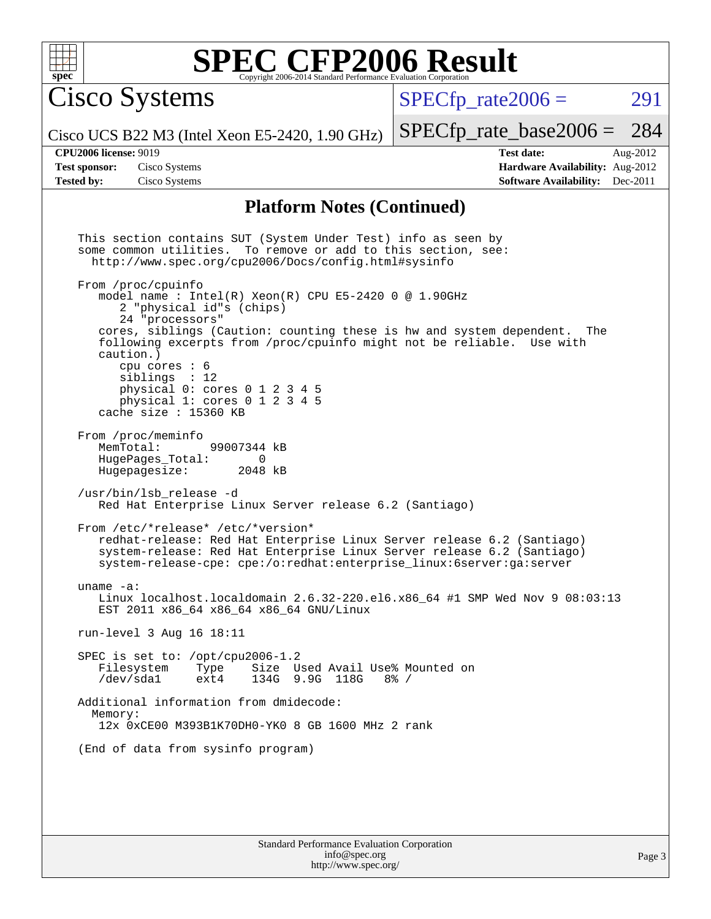

Cisco Systems

 $SPECTp\_rate2006 = 291$ 

[SPECfp\\_rate\\_base2006 =](http://www.spec.org/auto/cpu2006/Docs/result-fields.html#SPECfpratebase2006) 284

Cisco UCS B22 M3 (Intel Xeon E5-2420, 1.90 GHz)

**[CPU2006 license:](http://www.spec.org/auto/cpu2006/Docs/result-fields.html#CPU2006license)** 9019 **[Test date:](http://www.spec.org/auto/cpu2006/Docs/result-fields.html#Testdate)** Aug-2012 **[Test sponsor:](http://www.spec.org/auto/cpu2006/Docs/result-fields.html#Testsponsor)** Cisco Systems **[Hardware Availability:](http://www.spec.org/auto/cpu2006/Docs/result-fields.html#HardwareAvailability)** Aug-2012 **[Tested by:](http://www.spec.org/auto/cpu2006/Docs/result-fields.html#Testedby)** Cisco Systems **[Software Availability:](http://www.spec.org/auto/cpu2006/Docs/result-fields.html#SoftwareAvailability)** Dec-2011

#### **[Platform Notes \(Continued\)](http://www.spec.org/auto/cpu2006/Docs/result-fields.html#PlatformNotes)**

Standard Performance Evaluation Corporation This section contains SUT (System Under Test) info as seen by some common utilities. To remove or add to this section, see: <http://www.spec.org/cpu2006/Docs/config.html#sysinfo> From /proc/cpuinfo model name : Intel(R)  $Xeon(R)$  CPU E5-2420 0 @ 1.90GHz 2 "physical id"s (chips) 24 "processors" cores, siblings (Caution: counting these is hw and system dependent. The following excerpts from /proc/cpuinfo might not be reliable. Use with caution.) cpu cores : 6 siblings : 12 physical 0: cores 0 1 2 3 4 5 physical 1: cores 0 1 2 3 4 5 cache size : 15360 KB From /proc/meminfo<br>MemTotal: 99007344 kB HugePages\_Total: 0<br>Hugepagesize: 2048 kB Hugepagesize: /usr/bin/lsb\_release -d Red Hat Enterprise Linux Server release 6.2 (Santiago) From /etc/\*release\* /etc/\*version\* redhat-release: Red Hat Enterprise Linux Server release 6.2 (Santiago) system-release: Red Hat Enterprise Linux Server release 6.2 (Santiago) system-release-cpe: cpe:/o:redhat:enterprise\_linux:6server:ga:server uname -a: Linux localhost.localdomain 2.6.32-220.el6.x86\_64 #1 SMP Wed Nov 9 08:03:13 EST 2011 x86\_64 x86\_64 x86\_64 GNU/Linux run-level 3 Aug 16 18:11 SPEC is set to: /opt/cpu2006-1.2<br>Filesystem Type Size U Filesystem Type Size Used Avail Use% Mounted on /dev/sda1 ext4 134G 9.9G 118G 8% / Additional information from dmidecode: Memory: 12x 0xCE00 M393B1K70DH0-YK0 8 GB 1600 MHz 2 rank (End of data from sysinfo program)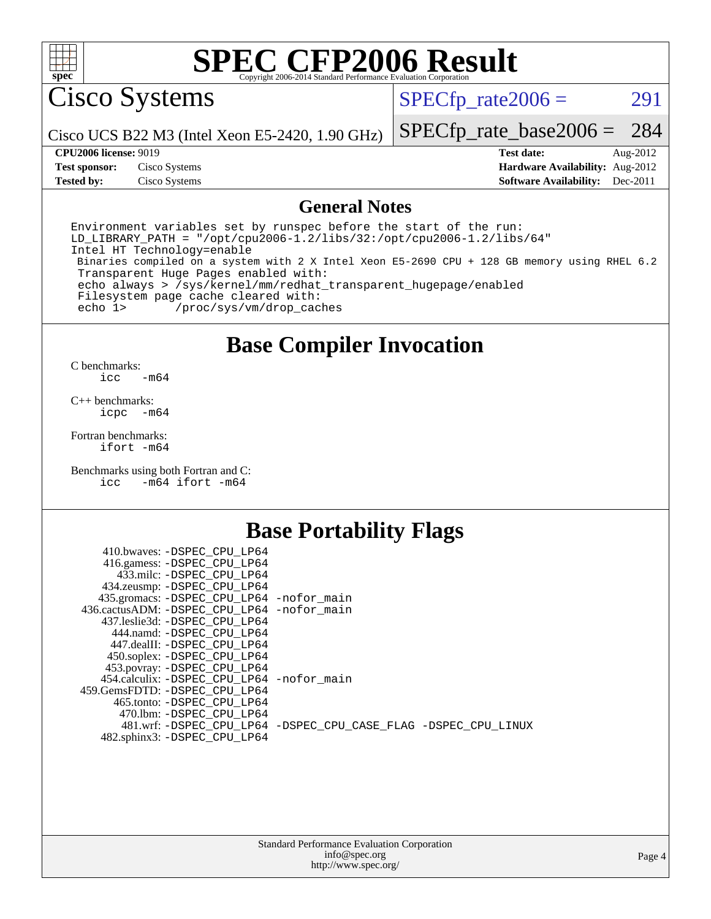

Cisco Systems

 $SPECTp_rate2006 = 291$ 

Cisco UCS B22 M3 (Intel Xeon E5-2420, 1.90 GHz)

[SPECfp\\_rate\\_base2006 =](http://www.spec.org/auto/cpu2006/Docs/result-fields.html#SPECfpratebase2006) 284

**[Tested by:](http://www.spec.org/auto/cpu2006/Docs/result-fields.html#Testedby)** Cisco Systems **[Software Availability:](http://www.spec.org/auto/cpu2006/Docs/result-fields.html#SoftwareAvailability)** Dec-2011

**[CPU2006 license:](http://www.spec.org/auto/cpu2006/Docs/result-fields.html#CPU2006license)** 9019 **[Test date:](http://www.spec.org/auto/cpu2006/Docs/result-fields.html#Testdate)** Aug-2012 **[Test sponsor:](http://www.spec.org/auto/cpu2006/Docs/result-fields.html#Testsponsor)** Cisco Systems **[Hardware Availability:](http://www.spec.org/auto/cpu2006/Docs/result-fields.html#HardwareAvailability)** Aug-2012

#### **[General Notes](http://www.spec.org/auto/cpu2006/Docs/result-fields.html#GeneralNotes)**

Environment variables set by runspec before the start of the run: LD LIBRARY PATH = "/opt/cpu2006-1.2/libs/32:/opt/cpu2006-1.2/libs/64" Intel HT Technology=enable Binaries compiled on a system with 2 X Intel Xeon E5-2690 CPU + 128 GB memory using RHEL 6.2 Transparent Huge Pages enabled with: echo always > /sys/kernel/mm/redhat\_transparent\_hugepage/enabled Filesystem page cache cleared with: echo 1> /proc/sys/vm/drop\_caches

## **[Base Compiler Invocation](http://www.spec.org/auto/cpu2006/Docs/result-fields.html#BaseCompilerInvocation)**

 $C$  benchmarks:<br>icc  $-m64$ 

[C++ benchmarks:](http://www.spec.org/auto/cpu2006/Docs/result-fields.html#CXXbenchmarks) [icpc -m64](http://www.spec.org/cpu2006/results/res2012q3/cpu2006-20120823-24305.flags.html#user_CXXbase_intel_icpc_64bit_bedb90c1146cab66620883ef4f41a67e)

[Fortran benchmarks](http://www.spec.org/auto/cpu2006/Docs/result-fields.html#Fortranbenchmarks): [ifort -m64](http://www.spec.org/cpu2006/results/res2012q3/cpu2006-20120823-24305.flags.html#user_FCbase_intel_ifort_64bit_ee9d0fb25645d0210d97eb0527dcc06e)

[Benchmarks using both Fortran and C](http://www.spec.org/auto/cpu2006/Docs/result-fields.html#BenchmarksusingbothFortranandC): [icc -m64](http://www.spec.org/cpu2006/results/res2012q3/cpu2006-20120823-24305.flags.html#user_CC_FCbase_intel_icc_64bit_0b7121f5ab7cfabee23d88897260401c) [ifort -m64](http://www.spec.org/cpu2006/results/res2012q3/cpu2006-20120823-24305.flags.html#user_CC_FCbase_intel_ifort_64bit_ee9d0fb25645d0210d97eb0527dcc06e)

#### **[Base Portability Flags](http://www.spec.org/auto/cpu2006/Docs/result-fields.html#BasePortabilityFlags)**

| 410.bwaves: -DSPEC CPU LP64                 |                                                                |
|---------------------------------------------|----------------------------------------------------------------|
| 416.gamess: -DSPEC_CPU_LP64                 |                                                                |
| 433.milc: -DSPEC CPU LP64                   |                                                                |
| 434.zeusmp: - DSPEC_CPU_LP64                |                                                                |
| 435.gromacs: -DSPEC_CPU_LP64 -nofor_main    |                                                                |
| 436.cactusADM: -DSPEC CPU LP64 -nofor main  |                                                                |
| 437.leslie3d: -DSPEC CPU LP64               |                                                                |
| 444.namd: -DSPEC CPU LP64                   |                                                                |
| 447.dealII: -DSPEC_CPU LP64                 |                                                                |
| 450.soplex: -DSPEC_CPU_LP64                 |                                                                |
| 453.povray: -DSPEC_CPU_LP64                 |                                                                |
| 454.calculix: - DSPEC CPU LP64 - nofor main |                                                                |
| 459. GemsFDTD: - DSPEC CPU LP64             |                                                                |
| 465.tonto: - DSPEC CPU LP64                 |                                                                |
| 470.1bm: - DSPEC_CPU LP64                   |                                                                |
|                                             | 481.wrf: -DSPEC CPU_LP64 -DSPEC_CPU_CASE_FLAG -DSPEC_CPU_LINUX |
| 482.sphinx3: -DSPEC_CPU_LP64                |                                                                |
|                                             |                                                                |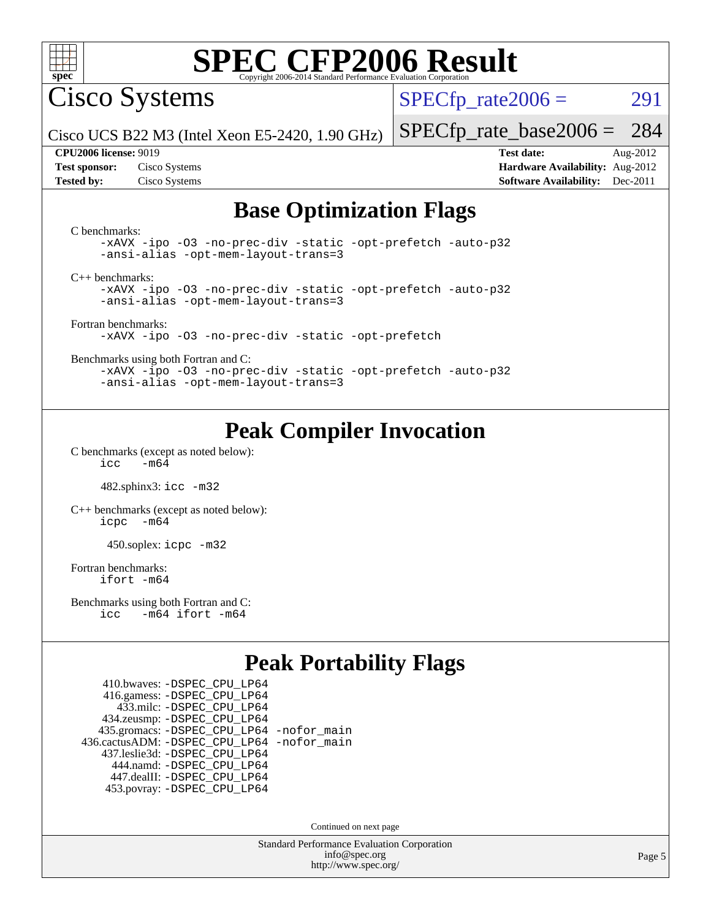

Cisco Systems

 $SPECTp\_rate2006 = 291$ 

Cisco UCS B22 M3 (Intel Xeon E5-2420, 1.90 GHz)

**[Tested by:](http://www.spec.org/auto/cpu2006/Docs/result-fields.html#Testedby)** Cisco Systems **[Software Availability:](http://www.spec.org/auto/cpu2006/Docs/result-fields.html#SoftwareAvailability)** Dec-2011

**[CPU2006 license:](http://www.spec.org/auto/cpu2006/Docs/result-fields.html#CPU2006license)** 9019 **[Test date:](http://www.spec.org/auto/cpu2006/Docs/result-fields.html#Testdate)** Aug-2012 **[Test sponsor:](http://www.spec.org/auto/cpu2006/Docs/result-fields.html#Testsponsor)** Cisco Systems **[Hardware Availability:](http://www.spec.org/auto/cpu2006/Docs/result-fields.html#HardwareAvailability)** Aug-2012

[SPECfp\\_rate\\_base2006 =](http://www.spec.org/auto/cpu2006/Docs/result-fields.html#SPECfpratebase2006) 284

## **[Base Optimization Flags](http://www.spec.org/auto/cpu2006/Docs/result-fields.html#BaseOptimizationFlags)**

[C benchmarks](http://www.spec.org/auto/cpu2006/Docs/result-fields.html#Cbenchmarks): [-xAVX](http://www.spec.org/cpu2006/results/res2012q3/cpu2006-20120823-24305.flags.html#user_CCbase_f-xAVX) [-ipo](http://www.spec.org/cpu2006/results/res2012q3/cpu2006-20120823-24305.flags.html#user_CCbase_f-ipo) [-O3](http://www.spec.org/cpu2006/results/res2012q3/cpu2006-20120823-24305.flags.html#user_CCbase_f-O3) [-no-prec-div](http://www.spec.org/cpu2006/results/res2012q3/cpu2006-20120823-24305.flags.html#user_CCbase_f-no-prec-div) [-static](http://www.spec.org/cpu2006/results/res2012q3/cpu2006-20120823-24305.flags.html#user_CCbase_f-static) [-opt-prefetch](http://www.spec.org/cpu2006/results/res2012q3/cpu2006-20120823-24305.flags.html#user_CCbase_f-opt-prefetch) [-auto-p32](http://www.spec.org/cpu2006/results/res2012q3/cpu2006-20120823-24305.flags.html#user_CCbase_f-auto-p32) [-ansi-alias](http://www.spec.org/cpu2006/results/res2012q3/cpu2006-20120823-24305.flags.html#user_CCbase_f-ansi-alias) [-opt-mem-layout-trans=3](http://www.spec.org/cpu2006/results/res2012q3/cpu2006-20120823-24305.flags.html#user_CCbase_f-opt-mem-layout-trans_a7b82ad4bd7abf52556d4961a2ae94d5) [C++ benchmarks:](http://www.spec.org/auto/cpu2006/Docs/result-fields.html#CXXbenchmarks) [-xAVX](http://www.spec.org/cpu2006/results/res2012q3/cpu2006-20120823-24305.flags.html#user_CXXbase_f-xAVX) [-ipo](http://www.spec.org/cpu2006/results/res2012q3/cpu2006-20120823-24305.flags.html#user_CXXbase_f-ipo) [-O3](http://www.spec.org/cpu2006/results/res2012q3/cpu2006-20120823-24305.flags.html#user_CXXbase_f-O3) [-no-prec-div](http://www.spec.org/cpu2006/results/res2012q3/cpu2006-20120823-24305.flags.html#user_CXXbase_f-no-prec-div) [-static](http://www.spec.org/cpu2006/results/res2012q3/cpu2006-20120823-24305.flags.html#user_CXXbase_f-static) [-opt-prefetch](http://www.spec.org/cpu2006/results/res2012q3/cpu2006-20120823-24305.flags.html#user_CXXbase_f-opt-prefetch) [-auto-p32](http://www.spec.org/cpu2006/results/res2012q3/cpu2006-20120823-24305.flags.html#user_CXXbase_f-auto-p32) [-ansi-alias](http://www.spec.org/cpu2006/results/res2012q3/cpu2006-20120823-24305.flags.html#user_CXXbase_f-ansi-alias) [-opt-mem-layout-trans=3](http://www.spec.org/cpu2006/results/res2012q3/cpu2006-20120823-24305.flags.html#user_CXXbase_f-opt-mem-layout-trans_a7b82ad4bd7abf52556d4961a2ae94d5) [Fortran benchmarks](http://www.spec.org/auto/cpu2006/Docs/result-fields.html#Fortranbenchmarks): [-xAVX](http://www.spec.org/cpu2006/results/res2012q3/cpu2006-20120823-24305.flags.html#user_FCbase_f-xAVX) [-ipo](http://www.spec.org/cpu2006/results/res2012q3/cpu2006-20120823-24305.flags.html#user_FCbase_f-ipo) [-O3](http://www.spec.org/cpu2006/results/res2012q3/cpu2006-20120823-24305.flags.html#user_FCbase_f-O3) [-no-prec-div](http://www.spec.org/cpu2006/results/res2012q3/cpu2006-20120823-24305.flags.html#user_FCbase_f-no-prec-div) [-static](http://www.spec.org/cpu2006/results/res2012q3/cpu2006-20120823-24305.flags.html#user_FCbase_f-static) [-opt-prefetch](http://www.spec.org/cpu2006/results/res2012q3/cpu2006-20120823-24305.flags.html#user_FCbase_f-opt-prefetch) [Benchmarks using both Fortran and C](http://www.spec.org/auto/cpu2006/Docs/result-fields.html#BenchmarksusingbothFortranandC): [-xAVX](http://www.spec.org/cpu2006/results/res2012q3/cpu2006-20120823-24305.flags.html#user_CC_FCbase_f-xAVX) [-ipo](http://www.spec.org/cpu2006/results/res2012q3/cpu2006-20120823-24305.flags.html#user_CC_FCbase_f-ipo) [-O3](http://www.spec.org/cpu2006/results/res2012q3/cpu2006-20120823-24305.flags.html#user_CC_FCbase_f-O3) [-no-prec-div](http://www.spec.org/cpu2006/results/res2012q3/cpu2006-20120823-24305.flags.html#user_CC_FCbase_f-no-prec-div) [-static](http://www.spec.org/cpu2006/results/res2012q3/cpu2006-20120823-24305.flags.html#user_CC_FCbase_f-static) [-opt-prefetch](http://www.spec.org/cpu2006/results/res2012q3/cpu2006-20120823-24305.flags.html#user_CC_FCbase_f-opt-prefetch) [-auto-p32](http://www.spec.org/cpu2006/results/res2012q3/cpu2006-20120823-24305.flags.html#user_CC_FCbase_f-auto-p32) [-ansi-alias](http://www.spec.org/cpu2006/results/res2012q3/cpu2006-20120823-24305.flags.html#user_CC_FCbase_f-ansi-alias) [-opt-mem-layout-trans=3](http://www.spec.org/cpu2006/results/res2012q3/cpu2006-20120823-24305.flags.html#user_CC_FCbase_f-opt-mem-layout-trans_a7b82ad4bd7abf52556d4961a2ae94d5)

## **[Peak Compiler Invocation](http://www.spec.org/auto/cpu2006/Docs/result-fields.html#PeakCompilerInvocation)**

[C benchmarks \(except as noted below\)](http://www.spec.org/auto/cpu2006/Docs/result-fields.html#Cbenchmarksexceptasnotedbelow):  $\text{icc}$  -m64

482.sphinx3: [icc -m32](http://www.spec.org/cpu2006/results/res2012q3/cpu2006-20120823-24305.flags.html#user_peakCCLD482_sphinx3_intel_icc_a6a621f8d50482236b970c6ac5f55f93)

[C++ benchmarks \(except as noted below\):](http://www.spec.org/auto/cpu2006/Docs/result-fields.html#CXXbenchmarksexceptasnotedbelow) [icpc -m64](http://www.spec.org/cpu2006/results/res2012q3/cpu2006-20120823-24305.flags.html#user_CXXpeak_intel_icpc_64bit_bedb90c1146cab66620883ef4f41a67e)

450.soplex: [icpc -m32](http://www.spec.org/cpu2006/results/res2012q3/cpu2006-20120823-24305.flags.html#user_peakCXXLD450_soplex_intel_icpc_4e5a5ef1a53fd332b3c49e69c3330699)

[Fortran benchmarks](http://www.spec.org/auto/cpu2006/Docs/result-fields.html#Fortranbenchmarks): [ifort -m64](http://www.spec.org/cpu2006/results/res2012q3/cpu2006-20120823-24305.flags.html#user_FCpeak_intel_ifort_64bit_ee9d0fb25645d0210d97eb0527dcc06e)

[Benchmarks using both Fortran and C](http://www.spec.org/auto/cpu2006/Docs/result-fields.html#BenchmarksusingbothFortranandC): [icc -m64](http://www.spec.org/cpu2006/results/res2012q3/cpu2006-20120823-24305.flags.html#user_CC_FCpeak_intel_icc_64bit_0b7121f5ab7cfabee23d88897260401c) [ifort -m64](http://www.spec.org/cpu2006/results/res2012q3/cpu2006-20120823-24305.flags.html#user_CC_FCpeak_intel_ifort_64bit_ee9d0fb25645d0210d97eb0527dcc06e)

## **[Peak Portability Flags](http://www.spec.org/auto/cpu2006/Docs/result-fields.html#PeakPortabilityFlags)**

 410.bwaves: [-DSPEC\\_CPU\\_LP64](http://www.spec.org/cpu2006/results/res2012q3/cpu2006-20120823-24305.flags.html#suite_peakPORTABILITY410_bwaves_DSPEC_CPU_LP64) 416.gamess: [-DSPEC\\_CPU\\_LP64](http://www.spec.org/cpu2006/results/res2012q3/cpu2006-20120823-24305.flags.html#suite_peakPORTABILITY416_gamess_DSPEC_CPU_LP64) 433.milc: [-DSPEC\\_CPU\\_LP64](http://www.spec.org/cpu2006/results/res2012q3/cpu2006-20120823-24305.flags.html#suite_peakPORTABILITY433_milc_DSPEC_CPU_LP64) 434.zeusmp: [-DSPEC\\_CPU\\_LP64](http://www.spec.org/cpu2006/results/res2012q3/cpu2006-20120823-24305.flags.html#suite_peakPORTABILITY434_zeusmp_DSPEC_CPU_LP64) 435.gromacs: [-DSPEC\\_CPU\\_LP64](http://www.spec.org/cpu2006/results/res2012q3/cpu2006-20120823-24305.flags.html#suite_peakPORTABILITY435_gromacs_DSPEC_CPU_LP64) [-nofor\\_main](http://www.spec.org/cpu2006/results/res2012q3/cpu2006-20120823-24305.flags.html#user_peakLDPORTABILITY435_gromacs_f-nofor_main) 436.cactusADM: [-DSPEC\\_CPU\\_LP64](http://www.spec.org/cpu2006/results/res2012q3/cpu2006-20120823-24305.flags.html#suite_peakPORTABILITY436_cactusADM_DSPEC_CPU_LP64) [-nofor\\_main](http://www.spec.org/cpu2006/results/res2012q3/cpu2006-20120823-24305.flags.html#user_peakLDPORTABILITY436_cactusADM_f-nofor_main) 437.leslie3d: [-DSPEC\\_CPU\\_LP64](http://www.spec.org/cpu2006/results/res2012q3/cpu2006-20120823-24305.flags.html#suite_peakPORTABILITY437_leslie3d_DSPEC_CPU_LP64) 444.namd: [-DSPEC\\_CPU\\_LP64](http://www.spec.org/cpu2006/results/res2012q3/cpu2006-20120823-24305.flags.html#suite_peakPORTABILITY444_namd_DSPEC_CPU_LP64) 447.dealII: [-DSPEC\\_CPU\\_LP64](http://www.spec.org/cpu2006/results/res2012q3/cpu2006-20120823-24305.flags.html#suite_peakPORTABILITY447_dealII_DSPEC_CPU_LP64) 453.povray: [-DSPEC\\_CPU\\_LP64](http://www.spec.org/cpu2006/results/res2012q3/cpu2006-20120823-24305.flags.html#suite_peakPORTABILITY453_povray_DSPEC_CPU_LP64)

Continued on next page

Standard Performance Evaluation Corporation [info@spec.org](mailto:info@spec.org) <http://www.spec.org/>

Page 5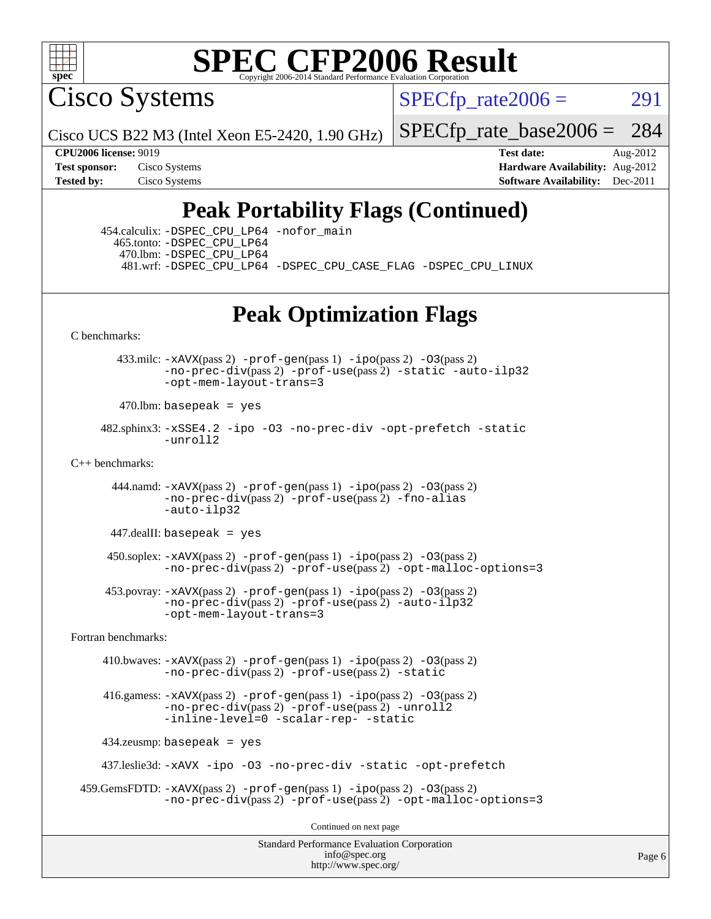

Cisco Systems

 $SPECTp\_rate2006 = 291$ 

Cisco UCS B22 M3 (Intel Xeon E5-2420, 1.90 GHz)

[SPECfp\\_rate\\_base2006 =](http://www.spec.org/auto/cpu2006/Docs/result-fields.html#SPECfpratebase2006) 284

**[CPU2006 license:](http://www.spec.org/auto/cpu2006/Docs/result-fields.html#CPU2006license)** 9019 **[Test date:](http://www.spec.org/auto/cpu2006/Docs/result-fields.html#Testdate)** Aug-2012 **[Test sponsor:](http://www.spec.org/auto/cpu2006/Docs/result-fields.html#Testsponsor)** Cisco Systems **[Hardware Availability:](http://www.spec.org/auto/cpu2006/Docs/result-fields.html#HardwareAvailability)** Aug-2012 **[Tested by:](http://www.spec.org/auto/cpu2006/Docs/result-fields.html#Testedby)** Cisco Systems **[Software Availability:](http://www.spec.org/auto/cpu2006/Docs/result-fields.html#SoftwareAvailability)** Dec-2011

## **[Peak Portability Flags \(Continued\)](http://www.spec.org/auto/cpu2006/Docs/result-fields.html#PeakPortabilityFlags)**

 454.calculix: [-DSPEC\\_CPU\\_LP64](http://www.spec.org/cpu2006/results/res2012q3/cpu2006-20120823-24305.flags.html#suite_peakPORTABILITY454_calculix_DSPEC_CPU_LP64) [-nofor\\_main](http://www.spec.org/cpu2006/results/res2012q3/cpu2006-20120823-24305.flags.html#user_peakLDPORTABILITY454_calculix_f-nofor_main) 465.tonto: [-DSPEC\\_CPU\\_LP64](http://www.spec.org/cpu2006/results/res2012q3/cpu2006-20120823-24305.flags.html#suite_peakPORTABILITY465_tonto_DSPEC_CPU_LP64) 470.lbm: [-DSPEC\\_CPU\\_LP64](http://www.spec.org/cpu2006/results/res2012q3/cpu2006-20120823-24305.flags.html#suite_peakPORTABILITY470_lbm_DSPEC_CPU_LP64) 481.wrf: [-DSPEC\\_CPU\\_LP64](http://www.spec.org/cpu2006/results/res2012q3/cpu2006-20120823-24305.flags.html#suite_peakPORTABILITY481_wrf_DSPEC_CPU_LP64) [-DSPEC\\_CPU\\_CASE\\_FLAG](http://www.spec.org/cpu2006/results/res2012q3/cpu2006-20120823-24305.flags.html#b481.wrf_peakCPORTABILITY_DSPEC_CPU_CASE_FLAG) [-DSPEC\\_CPU\\_LINUX](http://www.spec.org/cpu2006/results/res2012q3/cpu2006-20120823-24305.flags.html#b481.wrf_peakCPORTABILITY_DSPEC_CPU_LINUX)

## **[Peak Optimization Flags](http://www.spec.org/auto/cpu2006/Docs/result-fields.html#PeakOptimizationFlags)**

[C benchmarks](http://www.spec.org/auto/cpu2006/Docs/result-fields.html#Cbenchmarks):

 433.milc: [-xAVX](http://www.spec.org/cpu2006/results/res2012q3/cpu2006-20120823-24305.flags.html#user_peakPASS2_CFLAGSPASS2_LDFLAGS433_milc_f-xAVX)(pass 2) [-prof-gen](http://www.spec.org/cpu2006/results/res2012q3/cpu2006-20120823-24305.flags.html#user_peakPASS1_CFLAGSPASS1_LDFLAGS433_milc_prof_gen_e43856698f6ca7b7e442dfd80e94a8fc)(pass 1) [-ipo](http://www.spec.org/cpu2006/results/res2012q3/cpu2006-20120823-24305.flags.html#user_peakPASS2_CFLAGSPASS2_LDFLAGS433_milc_f-ipo)(pass 2) [-O3](http://www.spec.org/cpu2006/results/res2012q3/cpu2006-20120823-24305.flags.html#user_peakPASS2_CFLAGSPASS2_LDFLAGS433_milc_f-O3)(pass 2) [-no-prec-div](http://www.spec.org/cpu2006/results/res2012q3/cpu2006-20120823-24305.flags.html#user_peakPASS2_CFLAGSPASS2_LDFLAGS433_milc_f-no-prec-div)(pass 2) [-prof-use](http://www.spec.org/cpu2006/results/res2012q3/cpu2006-20120823-24305.flags.html#user_peakPASS2_CFLAGSPASS2_LDFLAGS433_milc_prof_use_bccf7792157ff70d64e32fe3e1250b55)(pass 2) [-static](http://www.spec.org/cpu2006/results/res2012q3/cpu2006-20120823-24305.flags.html#user_peakOPTIMIZE433_milc_f-static) [-auto-ilp32](http://www.spec.org/cpu2006/results/res2012q3/cpu2006-20120823-24305.flags.html#user_peakCOPTIMIZE433_milc_f-auto-ilp32) [-opt-mem-layout-trans=3](http://www.spec.org/cpu2006/results/res2012q3/cpu2006-20120823-24305.flags.html#user_peakCOPTIMIZE433_milc_f-opt-mem-layout-trans_a7b82ad4bd7abf52556d4961a2ae94d5)

 $470$ .lbm: basepeak = yes

 482.sphinx3: [-xSSE4.2](http://www.spec.org/cpu2006/results/res2012q3/cpu2006-20120823-24305.flags.html#user_peakOPTIMIZE482_sphinx3_f-xSSE42_f91528193cf0b216347adb8b939d4107) [-ipo](http://www.spec.org/cpu2006/results/res2012q3/cpu2006-20120823-24305.flags.html#user_peakOPTIMIZE482_sphinx3_f-ipo) [-O3](http://www.spec.org/cpu2006/results/res2012q3/cpu2006-20120823-24305.flags.html#user_peakOPTIMIZE482_sphinx3_f-O3) [-no-prec-div](http://www.spec.org/cpu2006/results/res2012q3/cpu2006-20120823-24305.flags.html#user_peakOPTIMIZE482_sphinx3_f-no-prec-div) [-opt-prefetch](http://www.spec.org/cpu2006/results/res2012q3/cpu2006-20120823-24305.flags.html#user_peakOPTIMIZE482_sphinx3_f-opt-prefetch) [-static](http://www.spec.org/cpu2006/results/res2012q3/cpu2006-20120823-24305.flags.html#user_peakOPTIMIZE482_sphinx3_f-static) [-unroll2](http://www.spec.org/cpu2006/results/res2012q3/cpu2006-20120823-24305.flags.html#user_peakCOPTIMIZE482_sphinx3_f-unroll_784dae83bebfb236979b41d2422d7ec2)

[C++ benchmarks:](http://www.spec.org/auto/cpu2006/Docs/result-fields.html#CXXbenchmarks)

444.namd:  $-xAVX(pass 2)$  $-xAVX(pass 2)$  [-prof-gen](http://www.spec.org/cpu2006/results/res2012q3/cpu2006-20120823-24305.flags.html#user_peakPASS1_CXXFLAGSPASS1_LDFLAGS444_namd_prof_gen_e43856698f6ca7b7e442dfd80e94a8fc)(pass 1) [-ipo](http://www.spec.org/cpu2006/results/res2012q3/cpu2006-20120823-24305.flags.html#user_peakPASS2_CXXFLAGSPASS2_LDFLAGS444_namd_f-ipo)(pass 2) [-O3](http://www.spec.org/cpu2006/results/res2012q3/cpu2006-20120823-24305.flags.html#user_peakPASS2_CXXFLAGSPASS2_LDFLAGS444_namd_f-O3)(pass 2) [-no-prec-div](http://www.spec.org/cpu2006/results/res2012q3/cpu2006-20120823-24305.flags.html#user_peakPASS2_CXXFLAGSPASS2_LDFLAGS444_namd_f-no-prec-div)(pass 2) [-prof-use](http://www.spec.org/cpu2006/results/res2012q3/cpu2006-20120823-24305.flags.html#user_peakPASS2_CXXFLAGSPASS2_LDFLAGS444_namd_prof_use_bccf7792157ff70d64e32fe3e1250b55)(pass 2) [-fno-alias](http://www.spec.org/cpu2006/results/res2012q3/cpu2006-20120823-24305.flags.html#user_peakCXXOPTIMIZE444_namd_f-no-alias_694e77f6c5a51e658e82ccff53a9e63a) [-auto-ilp32](http://www.spec.org/cpu2006/results/res2012q3/cpu2006-20120823-24305.flags.html#user_peakCXXOPTIMIZE444_namd_f-auto-ilp32)

 $447$ .dealII: basepeak = yes

 $450$ .soplex:  $-x$ AVX(pass 2)  $-p$ rof-gen(pass 1)  $-i$ po(pass 2)  $-03$ (pass 2) [-no-prec-div](http://www.spec.org/cpu2006/results/res2012q3/cpu2006-20120823-24305.flags.html#user_peakPASS2_CXXFLAGSPASS2_LDFLAGS450_soplex_f-no-prec-div)(pass 2) [-prof-use](http://www.spec.org/cpu2006/results/res2012q3/cpu2006-20120823-24305.flags.html#user_peakPASS2_CXXFLAGSPASS2_LDFLAGS450_soplex_prof_use_bccf7792157ff70d64e32fe3e1250b55)(pass 2) [-opt-malloc-options=3](http://www.spec.org/cpu2006/results/res2012q3/cpu2006-20120823-24305.flags.html#user_peakOPTIMIZE450_soplex_f-opt-malloc-options_13ab9b803cf986b4ee62f0a5998c2238)

 453.povray: [-xAVX](http://www.spec.org/cpu2006/results/res2012q3/cpu2006-20120823-24305.flags.html#user_peakPASS2_CXXFLAGSPASS2_LDFLAGS453_povray_f-xAVX)(pass 2) [-prof-gen](http://www.spec.org/cpu2006/results/res2012q3/cpu2006-20120823-24305.flags.html#user_peakPASS1_CXXFLAGSPASS1_LDFLAGS453_povray_prof_gen_e43856698f6ca7b7e442dfd80e94a8fc)(pass 1) [-ipo](http://www.spec.org/cpu2006/results/res2012q3/cpu2006-20120823-24305.flags.html#user_peakPASS2_CXXFLAGSPASS2_LDFLAGS453_povray_f-ipo)(pass 2) [-O3](http://www.spec.org/cpu2006/results/res2012q3/cpu2006-20120823-24305.flags.html#user_peakPASS2_CXXFLAGSPASS2_LDFLAGS453_povray_f-O3)(pass 2) [-no-prec-div](http://www.spec.org/cpu2006/results/res2012q3/cpu2006-20120823-24305.flags.html#user_peakPASS2_CXXFLAGSPASS2_LDFLAGS453_povray_f-no-prec-div)(pass 2) [-prof-use](http://www.spec.org/cpu2006/results/res2012q3/cpu2006-20120823-24305.flags.html#user_peakPASS2_CXXFLAGSPASS2_LDFLAGS453_povray_prof_use_bccf7792157ff70d64e32fe3e1250b55)(pass 2) [-auto-ilp32](http://www.spec.org/cpu2006/results/res2012q3/cpu2006-20120823-24305.flags.html#user_peakCXXOPTIMIZE453_povray_f-auto-ilp32) [-opt-mem-layout-trans=3](http://www.spec.org/cpu2006/results/res2012q3/cpu2006-20120823-24305.flags.html#user_peakCXXOPTIMIZE453_povray_f-opt-mem-layout-trans_a7b82ad4bd7abf52556d4961a2ae94d5)

[Fortran benchmarks](http://www.spec.org/auto/cpu2006/Docs/result-fields.html#Fortranbenchmarks):

 410.bwaves: [-xAVX](http://www.spec.org/cpu2006/results/res2012q3/cpu2006-20120823-24305.flags.html#user_peakPASS2_FFLAGSPASS2_LDFLAGS410_bwaves_f-xAVX)(pass 2) [-prof-gen](http://www.spec.org/cpu2006/results/res2012q3/cpu2006-20120823-24305.flags.html#user_peakPASS1_FFLAGSPASS1_LDFLAGS410_bwaves_prof_gen_e43856698f6ca7b7e442dfd80e94a8fc)(pass 1) [-ipo](http://www.spec.org/cpu2006/results/res2012q3/cpu2006-20120823-24305.flags.html#user_peakPASS2_FFLAGSPASS2_LDFLAGS410_bwaves_f-ipo)(pass 2) [-O3](http://www.spec.org/cpu2006/results/res2012q3/cpu2006-20120823-24305.flags.html#user_peakPASS2_FFLAGSPASS2_LDFLAGS410_bwaves_f-O3)(pass 2) [-no-prec-div](http://www.spec.org/cpu2006/results/res2012q3/cpu2006-20120823-24305.flags.html#user_peakPASS2_FFLAGSPASS2_LDFLAGS410_bwaves_f-no-prec-div)(pass 2) [-prof-use](http://www.spec.org/cpu2006/results/res2012q3/cpu2006-20120823-24305.flags.html#user_peakPASS2_FFLAGSPASS2_LDFLAGS410_bwaves_prof_use_bccf7792157ff70d64e32fe3e1250b55)(pass 2) [-static](http://www.spec.org/cpu2006/results/res2012q3/cpu2006-20120823-24305.flags.html#user_peakOPTIMIZE410_bwaves_f-static)

 416.gamess: [-xAVX](http://www.spec.org/cpu2006/results/res2012q3/cpu2006-20120823-24305.flags.html#user_peakPASS2_FFLAGSPASS2_LDFLAGS416_gamess_f-xAVX)(pass 2) [-prof-gen](http://www.spec.org/cpu2006/results/res2012q3/cpu2006-20120823-24305.flags.html#user_peakPASS1_FFLAGSPASS1_LDFLAGS416_gamess_prof_gen_e43856698f6ca7b7e442dfd80e94a8fc)(pass 1) [-ipo](http://www.spec.org/cpu2006/results/res2012q3/cpu2006-20120823-24305.flags.html#user_peakPASS2_FFLAGSPASS2_LDFLAGS416_gamess_f-ipo)(pass 2) [-O3](http://www.spec.org/cpu2006/results/res2012q3/cpu2006-20120823-24305.flags.html#user_peakPASS2_FFLAGSPASS2_LDFLAGS416_gamess_f-O3)(pass 2) [-no-prec-div](http://www.spec.org/cpu2006/results/res2012q3/cpu2006-20120823-24305.flags.html#user_peakPASS2_FFLAGSPASS2_LDFLAGS416_gamess_f-no-prec-div)(pass 2) [-prof-use](http://www.spec.org/cpu2006/results/res2012q3/cpu2006-20120823-24305.flags.html#user_peakPASS2_FFLAGSPASS2_LDFLAGS416_gamess_prof_use_bccf7792157ff70d64e32fe3e1250b55)(pass 2) [-unroll2](http://www.spec.org/cpu2006/results/res2012q3/cpu2006-20120823-24305.flags.html#user_peakOPTIMIZE416_gamess_f-unroll_784dae83bebfb236979b41d2422d7ec2) [-inline-level=0](http://www.spec.org/cpu2006/results/res2012q3/cpu2006-20120823-24305.flags.html#user_peakOPTIMIZE416_gamess_f-inline-level_318d07a09274ad25e8d15dbfaa68ba50) [-scalar-rep-](http://www.spec.org/cpu2006/results/res2012q3/cpu2006-20120823-24305.flags.html#user_peakOPTIMIZE416_gamess_f-disablescalarrep_abbcad04450fb118e4809c81d83c8a1d) [-static](http://www.spec.org/cpu2006/results/res2012q3/cpu2006-20120823-24305.flags.html#user_peakOPTIMIZE416_gamess_f-static)

434.zeusmp: basepeak = yes

437.leslie3d: [-xAVX](http://www.spec.org/cpu2006/results/res2012q3/cpu2006-20120823-24305.flags.html#user_peakOPTIMIZE437_leslie3d_f-xAVX) [-ipo](http://www.spec.org/cpu2006/results/res2012q3/cpu2006-20120823-24305.flags.html#user_peakOPTIMIZE437_leslie3d_f-ipo) [-O3](http://www.spec.org/cpu2006/results/res2012q3/cpu2006-20120823-24305.flags.html#user_peakOPTIMIZE437_leslie3d_f-O3) [-no-prec-div](http://www.spec.org/cpu2006/results/res2012q3/cpu2006-20120823-24305.flags.html#user_peakOPTIMIZE437_leslie3d_f-no-prec-div) [-static](http://www.spec.org/cpu2006/results/res2012q3/cpu2006-20120823-24305.flags.html#user_peakOPTIMIZE437_leslie3d_f-static) [-opt-prefetch](http://www.spec.org/cpu2006/results/res2012q3/cpu2006-20120823-24305.flags.html#user_peakOPTIMIZE437_leslie3d_f-opt-prefetch)

```
 459.GemsFDTD: -xAVX(pass 2) -prof-gen(pass 1) -ipo(pass 2) -O3(pass 2)
  -no-prec-div(pass 2) -prof-use(pass 2) -opt-malloc-options=3
```
Continued on next page

Standard Performance Evaluation Corporation [info@spec.org](mailto:info@spec.org) <http://www.spec.org/>